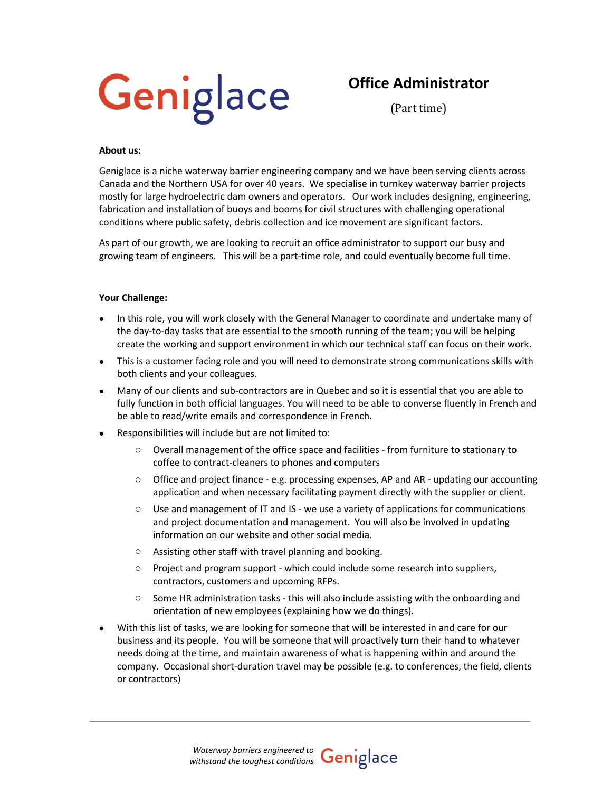

# **Office Administrator**

(Part time)

#### **About us:**

Geniglace is a niche waterway barrier engineering company and we have been serving clients across Canada and the Northern USA for over 40 years. We specialise in turnkey waterway barrier projects mostly for large hydroelectric dam owners and operators. Our work includes designing, engineering, fabrication and installation of buoys and booms for civil structures with challenging operational conditions where public safety, debris collection and ice movement are significant factors.

As part of our growth, we are looking to recruit an office administrator to support our busy and growing team of engineers. This will be a part-time role, and could eventually become full time.

### **Your Challenge:**

- In this role, you will work closely with the General Manager to coordinate and undertake many of the day-to-day tasks that are essential to the smooth running of the team; you will be helping create the working and support environment in which our technical staff can focus on their work.
- This is a customer facing role and you will need to demonstrate strong communications skills with both clients and your colleagues.
- Many of our clients and sub-contractors are in Quebec and so it is essential that you are able to fully function in both official languages. You will need to be able to converse fluently in French and be able to read/write emails and correspondence in French.
- Responsibilities will include but are not limited to:
	- o Overall management of the office space and facilities from furniture to stationary to coffee to contract-cleaners to phones and computers
	- $\circ$  Office and project finance e.g. processing expenses, AP and AR updating our accounting application and when necessary facilitating payment directly with the supplier or client.
	- $\circ$  Use and management of IT and IS we use a variety of applications for communications and project documentation and management. You will also be involved in updating information on our website and other social media.
	- o Assisting other staff with travel planning and booking.
	- o Project and program support which could include some research into suppliers, contractors, customers and upcoming RFPs.
	- $\circ$  Some HR administration tasks this will also include assisting with the onboarding and orientation of new employees (explaining how we do things).
- With this list of tasks, we are looking for someone that will be interested in and care for our business and its people. You will be someone that will proactively turn their hand to whatever needs doing at the time, and maintain awareness of what is happening within and around the company. Occasional short-duration travel may be possible (e.g. to conferences, the field, clients or contractors)